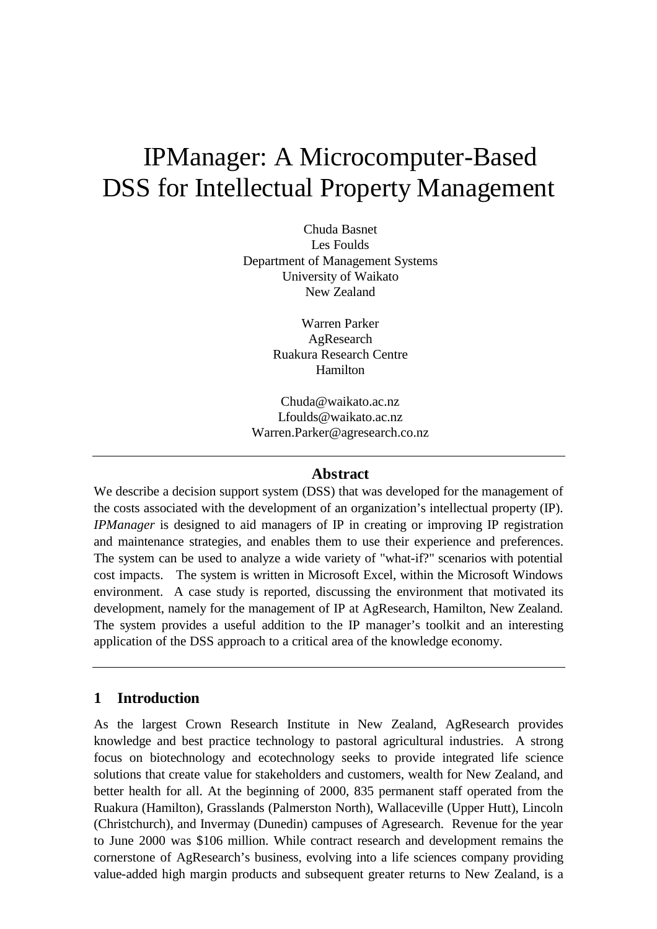# IPManager: A Microcomputer-Based DSS for Intellectual Property Management

Chuda Basnet Les Foulds Department of Management Systems University of Waikato New Zealand

> Warren Parker AgResearch Ruakura Research Centre Hamilton

Chuda@waikato.ac.nz Lfoulds@waikato.ac.nz Warren.Parker@agresearch.co.nz

### **Abstract**

We describe a decision support system (DSS) that was developed for the management of the costs associated with the development of an organization's intellectual property (IP). *IPManager* is designed to aid managers of IP in creating or improving IP registration and maintenance strategies, and enables them to use their experience and preferences. The system can be used to analyze a wide variety of "what-if?" scenarios with potential cost impacts. The system is written in Microsoft Excel, within the Microsoft Windows environment. A case study is reported, discussing the environment that motivated its development, namely for the management of IP at AgResearch, Hamilton, New Zealand. The system provides a useful addition to the IP manager's toolkit and an interesting application of the DSS approach to a critical area of the knowledge economy.

## **1 Introduction**

As the largest Crown Research Institute in New Zealand, AgResearch provides knowledge and best practice technology to pastoral agricultural industries. A strong focus on biotechnology and ecotechnology seeks to provide integrated life science solutions that create value for stakeholders and customers, wealth for New Zealand, and better health for all. At the beginning of 2000, 835 permanent staff operated from the Ruakura (Hamilton), Grasslands (Palmerston North), Wallaceville (Upper Hutt), Lincoln (Christchurch), and Invermay (Dunedin) campuses of Agresearch. Revenue for the year to June 2000 was \$106 million. While contract research and development remains the cornerstone of AgResearch's business, evolving into a life sciences company providing value-added high margin products and subsequent greater returns to New Zealand, is a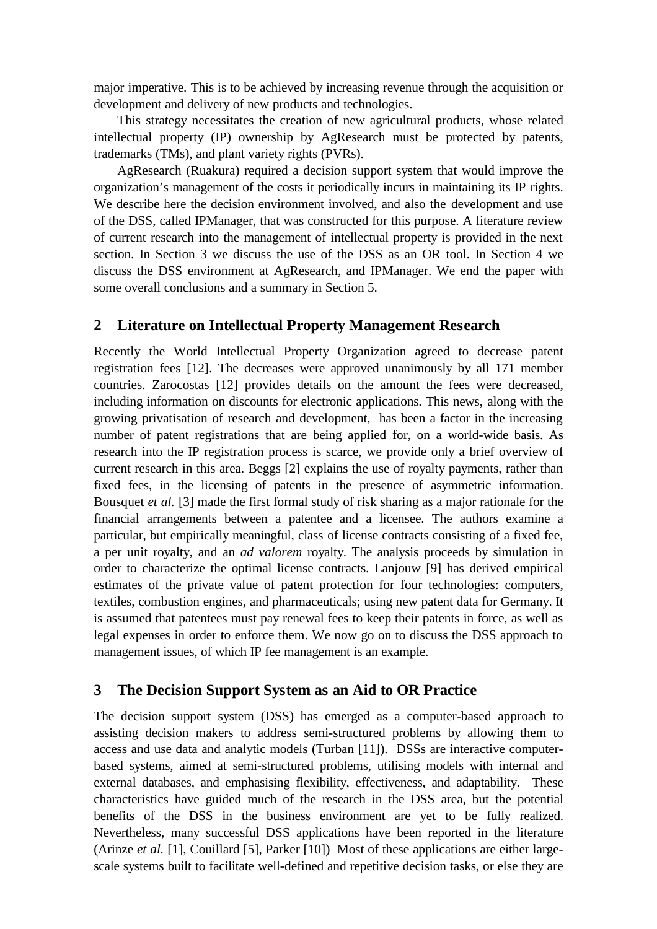major imperative. This is to be achieved by increasing revenue through the acquisition or development and delivery of new products and technologies.

This strategy necessitates the creation of new agricultural products, whose related intellectual property (IP) ownership by AgResearch must be protected by patents, trademarks (TMs), and plant variety rights (PVRs).

AgResearch (Ruakura) required a decision support system that would improve the organization's management of the costs it periodically incurs in maintaining its IP rights. We describe here the decision environment involved, and also the development and use of the DSS, called IPManager, that was constructed for this purpose. A literature review of current research into the management of intellectual property is provided in the next section. In Section 3 we discuss the use of the DSS as an OR tool. In Section 4 we discuss the DSS environment at AgResearch, and IPManager. We end the paper with some overall conclusions and a summary in Section 5.

## **2 Literature on Intellectual Property Management Research**

Recently the World Intellectual Property Organization agreed to decrease patent registration fees [12]. The decreases were approved unanimously by all 171 member countries. Zarocostas [12] provides details on the amount the fees were decreased, including information on discounts for electronic applications. This news, along with the growing privatisation of research and development, has been a factor in the increasing number of patent registrations that are being applied for, on a world-wide basis. As research into the IP registration process is scarce, we provide only a brief overview of current research in this area. Beggs [2] explains the use of royalty payments, rather than fixed fees, in the licensing of patents in the presence of asymmetric information. Bousquet *et al.* [3] made the first formal study of risk sharing as a major rationale for the financial arrangements between a patentee and a licensee. The authors examine a particular, but empirically meaningful, class of license contracts consisting of a fixed fee, a per unit royalty, and an *ad valorem* royalty. The analysis proceeds by simulation in order to characterize the optimal license contracts. Lanjouw [9] has derived empirical estimates of the private value of patent protection for four technologies: computers, textiles, combustion engines, and pharmaceuticals; using new patent data for Germany. It is assumed that patentees must pay renewal fees to keep their patents in force, as well as legal expenses in order to enforce them. We now go on to discuss the DSS approach to management issues, of which IP fee management is an example.

### **3 The Decision Support System as an Aid to OR Practice**

The decision support system (DSS) has emerged as a computer-based approach to assisting decision makers to address semi-structured problems by allowing them to access and use data and analytic models (Turban [11]). DSSs are interactive computerbased systems, aimed at semi-structured problems, utilising models with internal and external databases, and emphasising flexibility, effectiveness, and adaptability. These characteristics have guided much of the research in the DSS area, but the potential benefits of the DSS in the business environment are yet to be fully realized. Nevertheless, many successful DSS applications have been reported in the literature (Arinze *et al.* [1], Couillard [5], Parker [10]) Most of these applications are either largescale systems built to facilitate well-defined and repetitive decision tasks, or else they are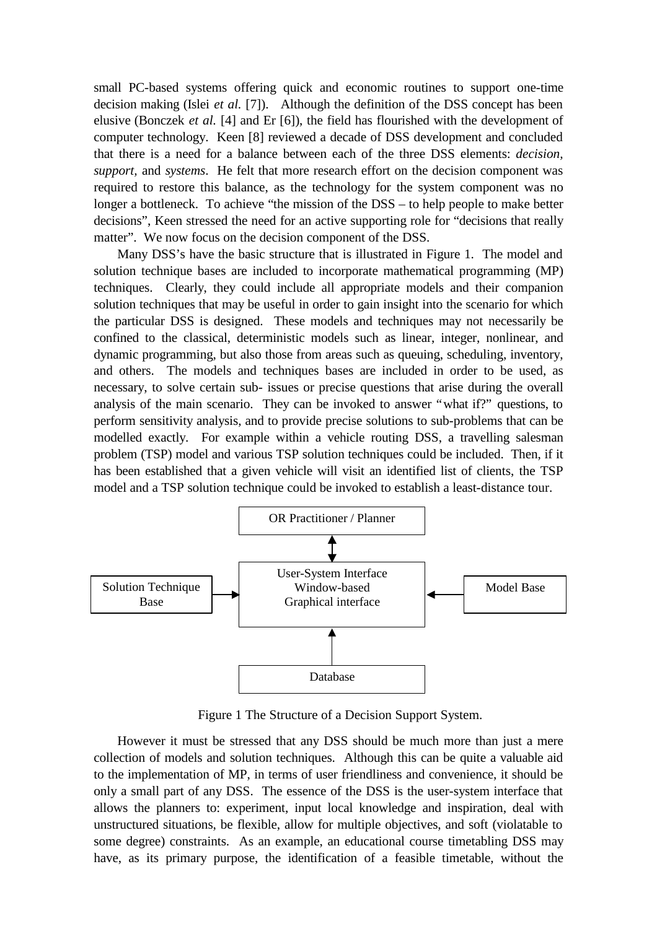small PC-based systems offering quick and economic routines to support one-time decision making (Islei *et al.* [7]). Although the definition of the DSS concept has been elusive (Bonczek *et al.* [4] and Er [6]), the field has flourished with the development of computer technology. Keen [8] reviewed a decade of DSS development and concluded that there is a need for a balance between each of the three DSS elements: *decision, support,* and *systems*. He felt that more research effort on the decision component was required to restore this balance, as the technology for the system component was no longer a bottleneck. To achieve "the mission of the DSS – to help people to make better decisions", Keen stressed the need for an active supporting role for "decisions that really matter". We now focus on the decision component of the DSS.

Many DSS's have the basic structure that is illustrated in Figure 1. The model and solution technique bases are included to incorporate mathematical programming (MP) techniques. Clearly, they could include all appropriate models and their companion solution techniques that may be useful in order to gain insight into the scenario for which the particular DSS is designed. These models and techniques may not necessarily be confined to the classical, deterministic models such as linear, integer, nonlinear, and dynamic programming, but also those from areas such as queuing, scheduling, inventory, and others. The models and techniques bases are included in order to be used, as necessary, to solve certain sub- issues or precise questions that arise during the overall analysis of the main scenario. They can be invoked to answer "what if?" questions, to perform sensitivity analysis, and to provide precise solutions to sub-problems that can be modelled exactly. For example within a vehicle routing DSS, a travelling salesman problem (TSP) model and various TSP solution techniques could be included. Then, if it has been established that a given vehicle will visit an identified list of clients, the TSP model and a TSP solution technique could be invoked to establish a least-distance tour.



Figure 1 The Structure of a Decision Support System.

However it must be stressed that any DSS should be much more than just a mere collection of models and solution techniques. Although this can be quite a valuable aid to the implementation of MP, in terms of user friendliness and convenience, it should be only a small part of any DSS. The essence of the DSS is the user-system interface that allows the planners to: experiment, input local knowledge and inspiration, deal with unstructured situations, be flexible, allow for multiple objectives, and soft (violatable to some degree) constraints. As an example, an educational course timetabling DSS may have, as its primary purpose, the identification of a feasible timetable, without the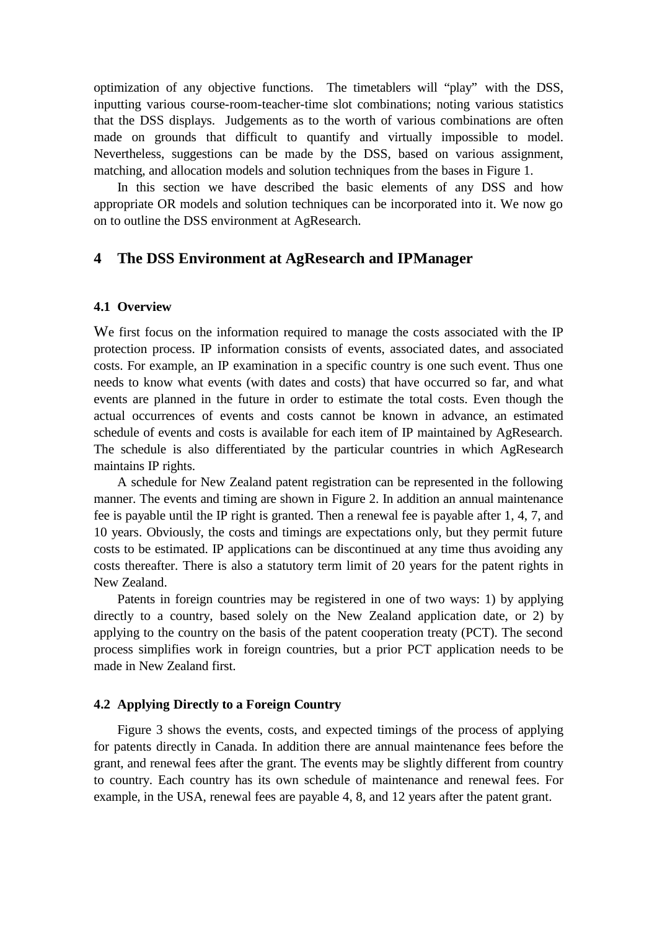optimization of any objective functions. The timetablers will "play" with the DSS, inputting various course-room-teacher-time slot combinations; noting various statistics that the DSS displays. Judgements as to the worth of various combinations are often made on grounds that difficult to quantify and virtually impossible to model. Nevertheless, suggestions can be made by the DSS, based on various assignment, matching, and allocation models and solution techniques from the bases in Figure 1.

In this section we have described the basic elements of any DSS and how appropriate OR models and solution techniques can be incorporated into it. We now go on to outline the DSS environment at AgResearch.

## **4 The DSS Environment at AgResearch and IPManager**

#### **4.1 Overview**

We first focus on the information required to manage the costs associated with the IP protection process. IP information consists of events, associated dates, and associated costs. For example, an IP examination in a specific country is one such event. Thus one needs to know what events (with dates and costs) that have occurred so far, and what events are planned in the future in order to estimate the total costs. Even though the actual occurrences of events and costs cannot be known in advance, an estimated schedule of events and costs is available for each item of IP maintained by AgResearch. The schedule is also differentiated by the particular countries in which AgResearch maintains IP rights.

A schedule for New Zealand patent registration can be represented in the following manner. The events and timing are shown in Figure 2. In addition an annual maintenance fee is payable until the IP right is granted. Then a renewal fee is payable after 1, 4, 7, and 10 years. Obviously, the costs and timings are expectations only, but they permit future costs to be estimated. IP applications can be discontinued at any time thus avoiding any costs thereafter. There is also a statutory term limit of 20 years for the patent rights in New Zealand.

Patents in foreign countries may be registered in one of two ways: 1) by applying directly to a country, based solely on the New Zealand application date, or 2) by applying to the country on the basis of the patent cooperation treaty (PCT). The second process simplifies work in foreign countries, but a prior PCT application needs to be made in New Zealand first.

#### **4.2 Applying Directly to a Foreign Country**

Figure 3 shows the events, costs, and expected timings of the process of applying for patents directly in Canada. In addition there are annual maintenance fees before the grant, and renewal fees after the grant. The events may be slightly different from country to country. Each country has its own schedule of maintenance and renewal fees. For example, in the USA, renewal fees are payable 4, 8, and 12 years after the patent grant.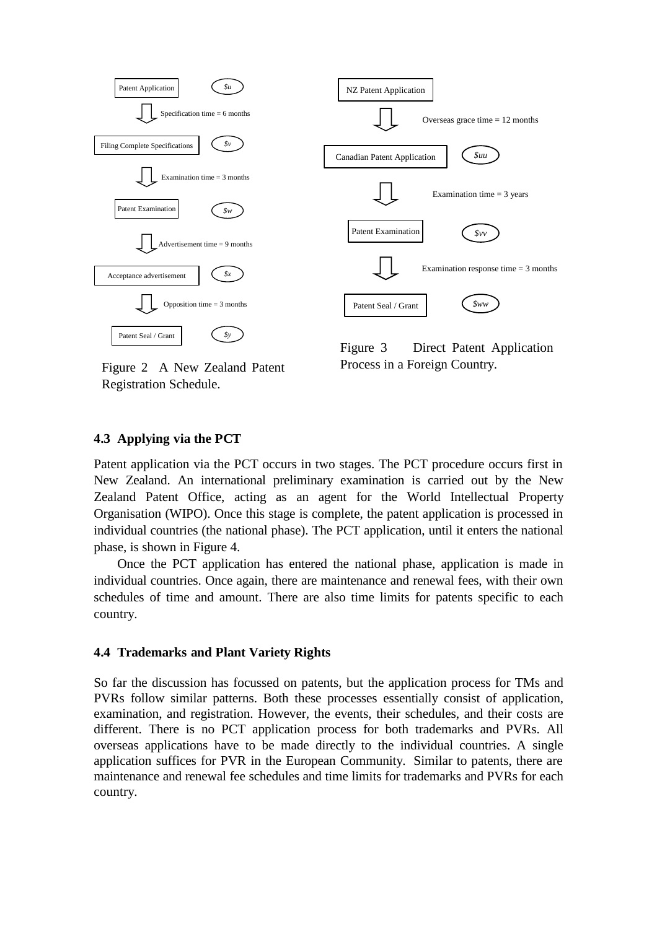

Figure 2 A New Zealand Patent Registration Schedule.

Figure 3 Direct Patent Application Process in a Foreign Country.

#### **4.3 Applying via the PCT**

Patent application via the PCT occurs in two stages. The PCT procedure occurs first in New Zealand. An international preliminary examination is carried out by the New Zealand Patent Office, acting as an agent for the World Intellectual Property Organisation (WIPO). Once this stage is complete, the patent application is processed in individual countries (the national phase). The PCT application, until it enters the national phase, is shown in Figure 4.

Once the PCT application has entered the national phase, application is made in individual countries. Once again, there are maintenance and renewal fees, with their own schedules of time and amount. There are also time limits for patents specific to each country.

#### **4.4 Trademarks and Plant Variety Rights**

So far the discussion has focussed on patents, but the application process for TMs and PVRs follow similar patterns. Both these processes essentially consist of application, examination, and registration. However, the events, their schedules, and their costs are different. There is no PCT application process for both trademarks and PVRs. All overseas applications have to be made directly to the individual countries. A single application suffices for PVR in the European Community. Similar to patents, there are maintenance and renewal fee schedules and time limits for trademarks and PVRs for each country.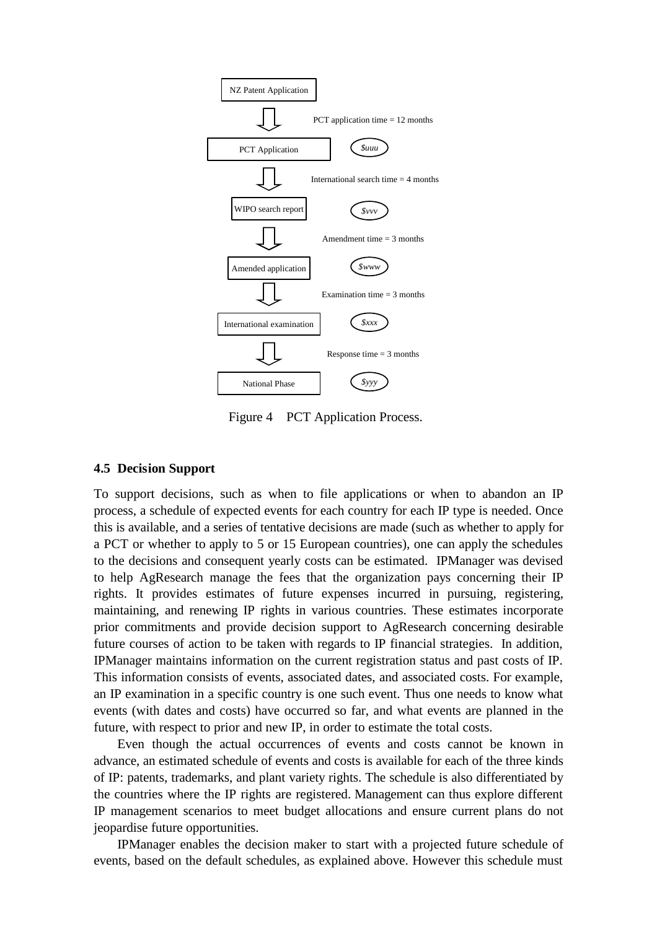

Figure 4 PCT Application Process.

#### **4.5 Decision Support**

To support decisions, such as when to file applications or when to abandon an IP process, a schedule of expected events for each country for each IP type is needed. Once this is available, and a series of tentative decisions are made (such as whether to apply for a PCT or whether to apply to 5 or 15 European countries), one can apply the schedules to the decisions and consequent yearly costs can be estimated. IPManager was devised to help AgResearch manage the fees that the organization pays concerning their IP rights. It provides estimates of future expenses incurred in pursuing, registering, maintaining, and renewing IP rights in various countries. These estimates incorporate prior commitments and provide decision support to AgResearch concerning desirable future courses of action to be taken with regards to IP financial strategies. In addition, IPManager maintains information on the current registration status and past costs of IP. This information consists of events, associated dates, and associated costs. For example, an IP examination in a specific country is one such event. Thus one needs to know what events (with dates and costs) have occurred so far, and what events are planned in the future, with respect to prior and new IP, in order to estimate the total costs.

Even though the actual occurrences of events and costs cannot be known in advance, an estimated schedule of events and costs is available for each of the three kinds of IP: patents, trademarks, and plant variety rights. The schedule is also differentiated by the countries where the IP rights are registered. Management can thus explore different IP management scenarios to meet budget allocations and ensure current plans do not jeopardise future opportunities.

IPManager enables the decision maker to start with a projected future schedule of events, based on the default schedules, as explained above. However this schedule must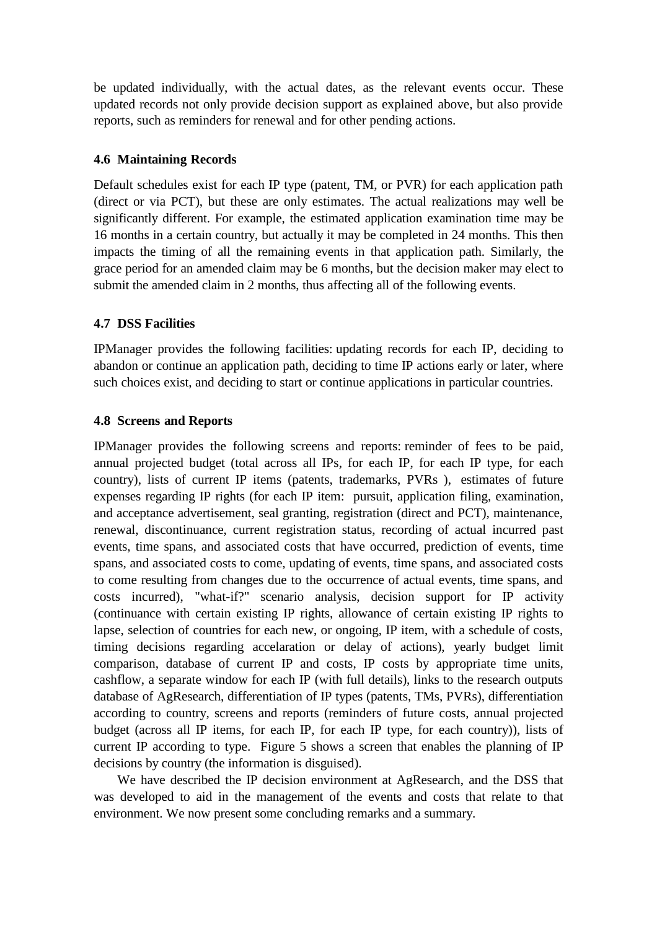be updated individually, with the actual dates, as the relevant events occur. These updated records not only provide decision support as explained above, but also provide reports, such as reminders for renewal and for other pending actions.

## **4.6 Maintaining Records**

Default schedules exist for each IP type (patent, TM, or PVR) for each application path (direct or via PCT), but these are only estimates. The actual realizations may well be significantly different. For example, the estimated application examination time may be 16 months in a certain country, but actually it may be completed in 24 months. This then impacts the timing of all the remaining events in that application path. Similarly, the grace period for an amended claim may be 6 months, but the decision maker may elect to submit the amended claim in 2 months, thus affecting all of the following events.

## **4.7 DSS Facilities**

IPManager provides the following facilities: updating records for each IP, deciding to abandon or continue an application path, deciding to time IP actions early or later, where such choices exist, and deciding to start or continue applications in particular countries.

## **4.8 Screens and Reports**

IPManager provides the following screens and reports: reminder of fees to be paid, annual projected budget (total across all IPs, for each IP, for each IP type, for each country), lists of current IP items (patents, trademarks, PVRs ), estimates of future expenses regarding IP rights (for each IP item: pursuit, application filing, examination, and acceptance advertisement, seal granting, registration (direct and PCT), maintenance, renewal, discontinuance, current registration status, recording of actual incurred past events, time spans, and associated costs that have occurred, prediction of events, time spans, and associated costs to come, updating of events, time spans, and associated costs to come resulting from changes due to the occurrence of actual events, time spans, and costs incurred), "what-if?" scenario analysis, decision support for IP activity (continuance with certain existing IP rights, allowance of certain existing IP rights to lapse, selection of countries for each new, or ongoing, IP item, with a schedule of costs, timing decisions regarding accelaration or delay of actions), yearly budget limit comparison, database of current IP and costs, IP costs by appropriate time units, cashflow, a separate window for each IP (with full details), links to the research outputs database of AgResearch, differentiation of IP types (patents, TMs, PVRs), differentiation according to country, screens and reports (reminders of future costs, annual projected budget (across all IP items, for each IP, for each IP type, for each country)), lists of current IP according to type. Figure 5 shows a screen that enables the planning of IP decisions by country (the information is disguised).

We have described the IP decision environment at AgResearch, and the DSS that was developed to aid in the management of the events and costs that relate to that environment. We now present some concluding remarks and a summary.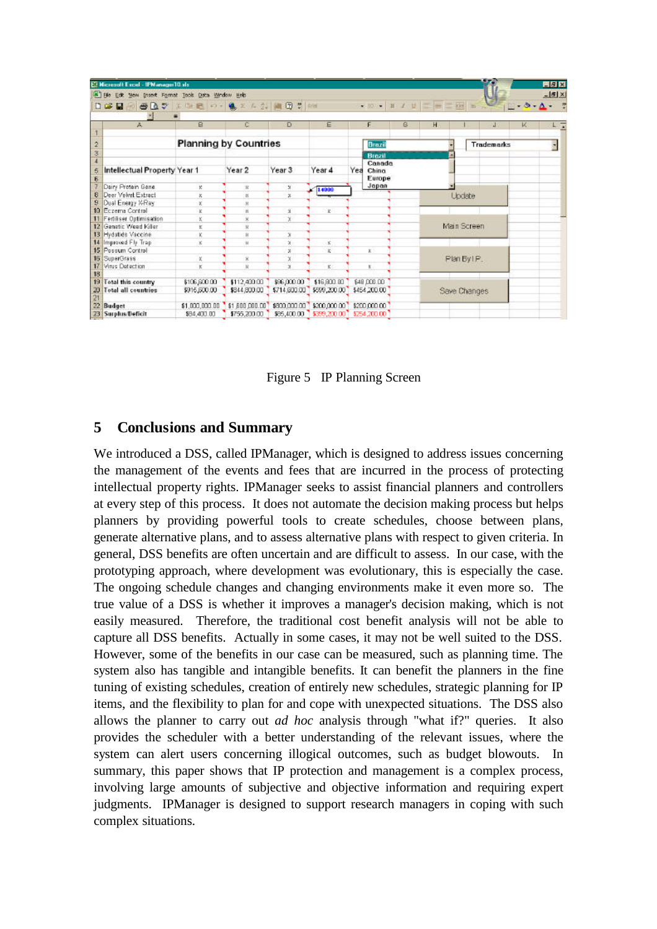|                         | E Microsoft Excel - IPM anager 10. stx             |                              |                |                          |                             |                                                                                                                                                                                                                                                                                                                                                                                                                                                                                                                  |   |                    |  |                   |                                        | $-8x$    |
|-------------------------|----------------------------------------------------|------------------------------|----------------|--------------------------|-----------------------------|------------------------------------------------------------------------------------------------------------------------------------------------------------------------------------------------------------------------------------------------------------------------------------------------------------------------------------------------------------------------------------------------------------------------------------------------------------------------------------------------------------------|---|--------------------|--|-------------------|----------------------------------------|----------|
|                         | File Edit Mem Insert Format Tools Data Window Help |                              |                |                          |                             |                                                                                                                                                                                                                                                                                                                                                                                                                                                                                                                  |   |                    |  |                   |                                        | $-15 X $ |
|                         | RIGOV<br>日は日                                       | 第四週10 · 多工人計画図 W   608       |                |                          |                             | $\mathbb{E} \times \mathbb{E} \times \mathbb{E} \times \mathbb{E} \times \mathbb{E} \times \mathbb{E} \times \mathbb{E} \times \mathbb{E} \times \mathbb{E} \times \mathbb{E} \times \mathbb{E} \times \mathbb{E} \times \mathbb{E} \times \mathbb{E} \times \mathbb{E} \times \mathbb{E} \times \mathbb{E} \times \mathbb{E} \times \mathbb{E} \times \mathbb{E} \times \mathbb{E} \times \mathbb{E} \times \mathbb{E} \times \mathbb{E} \times \mathbb{E} \times \mathbb{E} \times \mathbb{E} \times \mathbb{$ |   |                    |  |                   | $\Box \cdot \Delta \cdot \Delta \cdot$ |          |
|                         |                                                    |                              |                |                          |                             |                                                                                                                                                                                                                                                                                                                                                                                                                                                                                                                  |   |                    |  |                   |                                        |          |
|                         | 太                                                  | 8                            | c              | D.                       | ε                           | F                                                                                                                                                                                                                                                                                                                                                                                                                                                                                                                | G | н                  |  |                   | κ                                      | π        |
|                         |                                                    |                              |                |                          |                             |                                                                                                                                                                                                                                                                                                                                                                                                                                                                                                                  |   |                    |  |                   |                                        |          |
|                         |                                                    | <b>Planning by Countries</b> |                |                          |                             | Brazil                                                                                                                                                                                                                                                                                                                                                                                                                                                                                                           |   |                    |  | <b>Trademarks</b> |                                        |          |
| $\overline{\mathbf{3}}$ |                                                    |                              |                |                          |                             | <b>Brezil</b>                                                                                                                                                                                                                                                                                                                                                                                                                                                                                                    |   |                    |  |                   |                                        |          |
|                         |                                                    |                              |                |                          |                             | Canada                                                                                                                                                                                                                                                                                                                                                                                                                                                                                                           |   |                    |  |                   |                                        |          |
| 5                       | Intellectual Property Year 1                       |                              | Year 2         | Year 3                   | Year 4                      | Yea<br>China                                                                                                                                                                                                                                                                                                                                                                                                                                                                                                     |   |                    |  |                   |                                        |          |
| $\overline{6}$          |                                                    |                              |                |                          |                             | Europe                                                                                                                                                                                                                                                                                                                                                                                                                                                                                                           |   |                    |  |                   |                                        |          |
|                         | Dairy Protein Gene                                 | ĸ                            | R              | $\mathbf{x}$             | 14000                       | Jopan                                                                                                                                                                                                                                                                                                                                                                                                                                                                                                            |   |                    |  |                   |                                        |          |
| 8                       | Deer Velvet Extract                                | ×                            | N              | $\mathbf x$              |                             |                                                                                                                                                                                                                                                                                                                                                                                                                                                                                                                  |   | Update             |  |                   |                                        |          |
| 9                       | Dual Energy K-Ray                                  |                              | W              |                          |                             |                                                                                                                                                                                                                                                                                                                                                                                                                                                                                                                  |   |                    |  |                   |                                        |          |
|                         | 10 Eczema Contral                                  |                              | Ň              | x                        | $\mathbf{z}$                |                                                                                                                                                                                                                                                                                                                                                                                                                                                                                                                  |   |                    |  |                   |                                        |          |
|                         | Fediliser Optimisation                             |                              | x              | x                        |                             |                                                                                                                                                                                                                                                                                                                                                                                                                                                                                                                  |   | <b>Main Screen</b> |  |                   |                                        |          |
|                         | 12 Genetic Weed Killer                             | ĸ                            | <b>M</b>       |                          |                             |                                                                                                                                                                                                                                                                                                                                                                                                                                                                                                                  |   |                    |  |                   |                                        |          |
|                         | 13 Hydatide Vaccine                                |                              | N              | x                        |                             |                                                                                                                                                                                                                                                                                                                                                                                                                                                                                                                  |   |                    |  |                   |                                        |          |
|                         | 14 Improved Fly Trap                               | x                            | M)             | $\mathbf{x}$             | $\mathbf{x}$                |                                                                                                                                                                                                                                                                                                                                                                                                                                                                                                                  |   |                    |  |                   |                                        |          |
|                         | 15 Passum Control                                  |                              |                | x                        | $\mathbf{x}$                | ĸ                                                                                                                                                                                                                                                                                                                                                                                                                                                                                                                |   |                    |  |                   |                                        |          |
|                         | 15 SuperGrass                                      |                              | x              | x                        |                             |                                                                                                                                                                                                                                                                                                                                                                                                                                                                                                                  |   | Plan By IP.        |  |                   |                                        |          |
| 17                      | Virus Detection                                    | k                            | ù,             | $\overline{\phantom{a}}$ | $\mathbf{K}$                | k.                                                                                                                                                                                                                                                                                                                                                                                                                                                                                                               |   |                    |  |                   |                                        |          |
| 18                      |                                                    |                              |                |                          |                             |                                                                                                                                                                                                                                                                                                                                                                                                                                                                                                                  |   |                    |  |                   |                                        |          |
| 19 <sup>°</sup>         | <b>Total this country</b>                          | \$106,600.00                 | \$112,400.00   | \$96,000.00              | \$16,900.00                 | \$48,000.00                                                                                                                                                                                                                                                                                                                                                                                                                                                                                                      |   |                    |  |                   |                                        |          |
| 20                      | <b>Total all countries</b>                         | \$916,600.00                 | \$644,800.00   | \$714,600.00             | \$599,200.00                | \$454,200,00                                                                                                                                                                                                                                                                                                                                                                                                                                                                                                     |   | Save Changes       |  |                   |                                        |          |
| 21                      |                                                    |                              |                |                          |                             |                                                                                                                                                                                                                                                                                                                                                                                                                                                                                                                  |   |                    |  |                   |                                        |          |
|                         | 22 Budget                                          | \$1,000,000.00               | \$1,600,000.00 |                          | \$800,000.00 \$200,000.00 " | \$200,000.00                                                                                                                                                                                                                                                                                                                                                                                                                                                                                                     |   |                    |  |                   |                                        |          |
|                         | 23 Surplus Deficit                                 | \$94,400.00                  | \$755,200.00   |                          |                             | \$85,400.00 \$359,200.00 \$254,200.00                                                                                                                                                                                                                                                                                                                                                                                                                                                                            |   |                    |  |                   |                                        |          |

Figure 5 IP Planning Screen

## **5 Conclusions and Summary**

We introduced a DSS, called IPManager, which is designed to address issues concerning the management of the events and fees that are incurred in the process of protecting intellectual property rights. IPManager seeks to assist financial planners and controllers at every step of this process. It does not automate the decision making process but helps planners by providing powerful tools to create schedules, choose between plans, generate alternative plans, and to assess alternative plans with respect to given criteria. In general, DSS benefits are often uncertain and are difficult to assess. In our case, with the prototyping approach, where development was evolutionary, this is especially the case. The ongoing schedule changes and changing environments make it even more so. The true value of a DSS is whether it improves a manager's decision making, which is not easily measured. Therefore, the traditional cost benefit analysis will not be able to capture all DSS benefits. Actually in some cases, it may not be well suited to the DSS. However, some of the benefits in our case can be measured, such as planning time. The system also has tangible and intangible benefits. It can benefit the planners in the fine tuning of existing schedules, creation of entirely new schedules, strategic planning for IP items, and the flexibility to plan for and cope with unexpected situations. The DSS also allows the planner to carry out *ad hoc* analysis through "what if?" queries. It also provides the scheduler with a better understanding of the relevant issues, where the system can alert users concerning illogical outcomes, such as budget blowouts. In summary, this paper shows that IP protection and management is a complex process, involving large amounts of subjective and objective information and requiring expert judgments. IPManager is designed to support research managers in coping with such complex situations.